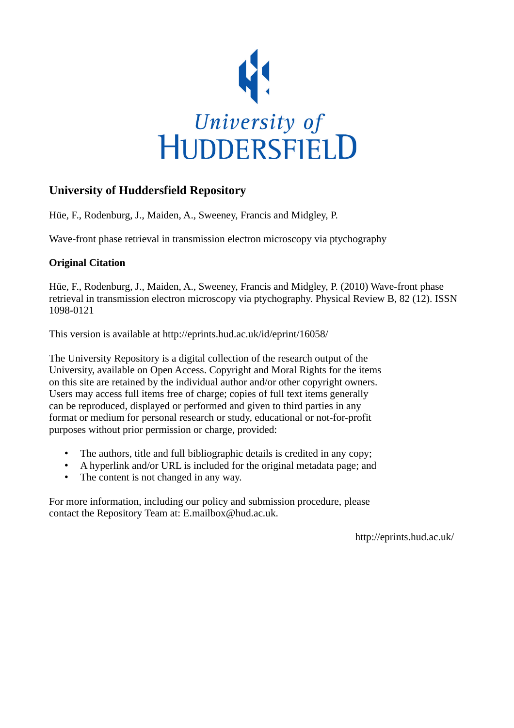

## **University of Huddersfield Repository**

Hüe, F., Rodenburg, J., Maiden, A., Sweeney, Francis and Midgley, P.

Wave-front phase retrieval in transmission electron microscopy via ptychography

## **Original Citation**

Hüe, F., Rodenburg, J., Maiden, A., Sweeney, Francis and Midgley, P. (2010) Wave-front phase retrieval in transmission electron microscopy via ptychography. Physical Review B, 82 (12). ISSN 1098-0121

This version is available at http://eprints.hud.ac.uk/id/eprint/16058/

The University Repository is a digital collection of the research output of the University, available on Open Access. Copyright and Moral Rights for the items on this site are retained by the individual author and/or other copyright owners. Users may access full items free of charge; copies of full text items generally can be reproduced, displayed or performed and given to third parties in any format or medium for personal research or study, educational or not-for-profit purposes without prior permission or charge, provided:

- The authors, title and full bibliographic details is credited in any copy;
- A hyperlink and/or URL is included for the original metadata page; and
- The content is not changed in any way.

For more information, including our policy and submission procedure, please contact the Repository Team at: E.mailbox@hud.ac.uk.

http://eprints.hud.ac.uk/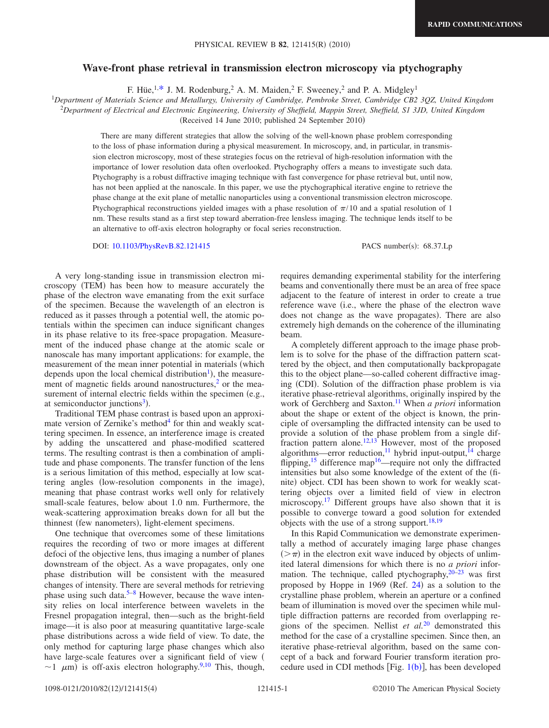## **Wave-front phase retrieval in transmission electron microscopy via ptychography**

F. Hüe,  $1.*$  J. M. Rodenburg,  $^2$  A. M. Maiden,  $^2$  F. Sweeney,  $^2$  and P. A. Midgley<sup>1</sup>

1 *Department of Materials Science and Metallurgy, University of Cambridge, Pembroke Street, Cambridge CB2 3QZ, United Kingdom*

2 *Department of Electrical and Electronic Engineering, University of Sheffield, Mappin Street, Sheffield, S1 3JD, United Kingdom*

(Received 14 June 2010; published 24 September 2010)

There are many different strategies that allow the solving of the well-known phase problem corresponding to the loss of phase information during a physical measurement. In microscopy, and, in particular, in transmission electron microscopy, most of these strategies focus on the retrieval of high-resolution information with the importance of lower resolution data often overlooked. Ptychography offers a means to investigate such data. Ptychography is a robust diffractive imaging technique with fast convergence for phase retrieval but, until now, has not been applied at the nanoscale. In this paper, we use the ptychographical iterative engine to retrieve the phase change at the exit plane of metallic nanoparticles using a conventional transmission electron microscope. Ptychographical reconstructions yielded images with a phase resolution of  $\pi/10$  and a spatial resolution of 1 nm. These results stand as a first step toward aberration-free lensless imaging. The technique lends itself to be an alternative to off-axis electron holography or focal series reconstruction.

DOI: [10.1103/PhysRevB.82.121415](http://dx.doi.org/10.1103/PhysRevB.82.121415)

PACS number(s): 68.37.Lp

A very long-standing issue in transmission electron microscopy (TEM) has been how to measure accurately the phase of the electron wave emanating from the exit surface of the specimen. Because the wavelength of an electron is reduced as it passes through a potential well, the atomic potentials within the specimen can induce significant changes in its phase relative to its free-space propagation. Measurement of the induced phase change at the atomic scale or nanoscale has many important applications: for example, the measurement of the mean inner potential in materials (which depends upon the local chemical distribution<sup>1</sup>), the measurement of magnetic fields around nanostructures, $\frac{2}{3}$  or the measurement of internal electric fields within the specimen (e.g., at semiconductor junctions<sup>3</sup>).

Traditional TEM phase contrast is based upon an approximate version of Zernike's method $4$  for thin and weakly scattering specimen. In essence, an interference image is created by adding the unscattered and phase-modified scattered terms. The resulting contrast is then a combination of amplitude and phase components. The transfer function of the lens is a serious limitation of this method, especially at low scattering angles (low-resolution components in the image), meaning that phase contrast works well only for relatively small-scale features, below about 1.0 nm. Furthermore, the weak-scattering approximation breaks down for all but the thinnest (few nanometers), light-element specimens.

One technique that overcomes some of these limitations requires the recording of two or more images at different defoci of the objective lens, thus imaging a number of planes downstream of the object. As a wave propagates, only one phase distribution will be consistent with the measured changes of intensity. There are several methods for retrieving phase using such data.<sup>5–[8](#page-4-6)</sup> However, because the wave intensity relies on local interference between wavelets in the Fresnel propagation integral, then—such as the bright-field image—it is also poor at measuring quantitative large-scale phase distributions across a wide field of view. To date, the only method for capturing large phase changes which also have large-scale features over a significant field of view (  $\sim$ 1  $\mu$ m) is off-axis electron holography.<sup>9[,10](#page-4-8)</sup> This, though,

requires demanding experimental stability for the interfering beams and conventionally there must be an area of free space adjacent to the feature of interest in order to create a true reference wave (i.e., where the phase of the electron wave does not change as the wave propagates). There are also extremely high demands on the coherence of the illuminating beam.

A completely different approach to the image phase problem is to solve for the phase of the diffraction pattern scattered by the object, and then computationally backpropagate this to the object plane—so-called coherent diffractive imaging (CDI). Solution of the diffraction phase problem is via iterative phase-retrieval algorithms, originally inspired by the work of Gerchberg and Saxton[.11](#page-4-9) When *a priori* information about the shape or extent of the object is known, the principle of oversampling the diffracted intensity can be used to provide a solution of the phase problem from a single dif-fraction pattern alone.<sup>12,[13](#page-4-11)</sup> However, most of the proposed algorithms—error reduction,<sup>11</sup> hybrid input-output, $^{14}$  charge flipping,<sup>15</sup> difference map<sup>16</sup>—require not only the diffracted intensities but also some knowledge of the extent of the finite) object. CDI has been shown to work for weakly scattering objects over a limited field of view in electron microscopy.<sup>17</sup> Different groups have also shown that it is possible to converge toward a good solution for extended objects with the use of a strong support. $18,19$  $18,19$ 

In this Rapid Communication we demonstrate experimentally a method of accurately imaging large phase changes  $(>\pi)$  in the electron exit wave induced by objects of unlimited lateral dimensions for which there is no *a priori* information. The technique, called ptychography, $20\dot{-}23$  was first proposed by Hoppe in 1969 (Ref. [24](#page-4-20)) as a solution to the crystalline phase problem, wherein an aperture or a confined beam of illumination is moved over the specimen while multiple diffraction patterns are recorded from overlapping regions of the specimen. Nellist *et al.*[20](#page-4-18) demonstrated this method for the case of a crystalline specimen. Since then, an iterative phase-retrieval algorithm, based on the same concept of a back and forward Fourier transform iteration procedure used in CDI methods [Fig.  $1(b)$  $1(b)$ ], has been developed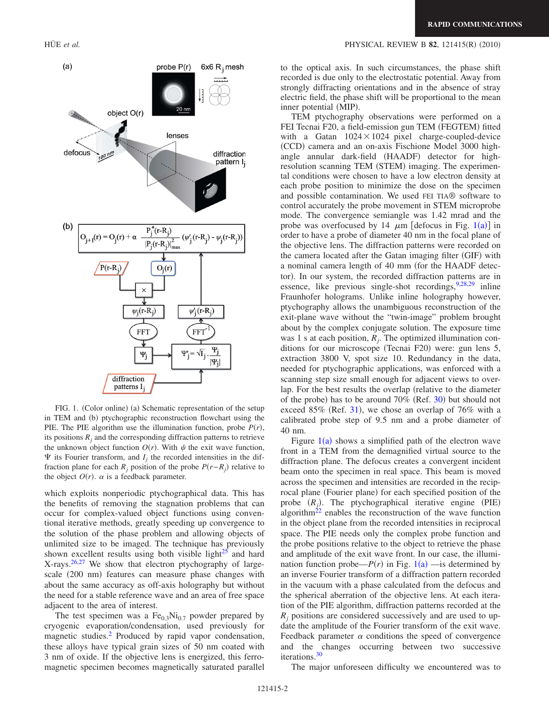

inner potential (MIP). TEM ptychography observations were performed on a FEI Tecnai F20, a field-emission gun TEM (FEGTEM) fitted with a Gatan  $1024 \times 1024$  pixel charge-coupled-device (CCD) camera and an on-axis Fischione Model 3000 highangle annular dark-field (HAADF) detector for highresolution scanning TEM (STEM) imaging. The experimental conditions were chosen to have a low electron density at each probe position to minimize the dose on the specimen and possible contamination. We used FEI TIA® software to control accurately the probe movement in STEM microprobe mode. The convergence semiangle was 1.42 mrad and the probe was overfocused by [1](#page-2-0)4  $\mu$ m [defocus in Fig. 1(a)] in order to have a probe of diameter 40 nm in the focal plane of the objective lens. The diffraction patterns were recorded on the camera located after the Gatan imaging filter (GIF) with a nominal camera length of 40 mm (for the HAADF detector). In our system, the recorded diffraction patterns are in essence, like previous single-shot recordings, 9,[28](#page-4-24)[,29](#page-4-25) inline Fraunhofer holograms. Unlike inline holography however, ptychography allows the unambiguous reconstruction of the exit-plane wave without the "twin-image" problem brought about by the complex conjugate solution. The exposure time was 1 s at each position,  $R_i$ . The optimized illumination conditions for our microscope (Tecnai F20) were: gun lens 5, extraction 3800 V, spot size 10. Redundancy in the data, needed for ptychographic applications, was enforced with a scanning step size small enough for adjacent views to overlap. For the best results the overlap (relative to the diameter of the probe) has to be around 70% (Ref. [30](#page-4-26)) but should not exceed  $85\%$  (Ref. [31](#page-4-27)), we chose an overlap of 76% with a calibrated probe step of 9.5 nm and a probe diameter of 40 nm.

Figure  $1(a)$  $1(a)$  shows a simplified path of the electron wave front in a TEM from the demagnified virtual source to the diffraction plane. The defocus creates a convergent incident beam onto the specimen in real space. This beam is moved across the specimen and intensities are recorded in the reciprocal plane (Fourier plane) for each specified position of the probe  $(R_j)$ . The ptychographical iterative engine (PIE) algorithm<sup>22</sup> enables the reconstruction of the wave function in the object plane from the recorded intensities in reciprocal space. The PIE needs only the complex probe function and the probe positions relative to the object to retrieve the phase and amplitude of the exit wave front. In our case, the illumination function probe— $P(r)$  in Fig.  $1(a)$  $1(a)$  —is determined by an inverse Fourier transform of a diffraction pattern recorded in the vacuum with a phase calculated from the defocus and the spherical aberration of the objective lens. At each iteration of the PIE algorithm, diffraction patterns recorded at the  $R_i$  positions are considered successively and are used to update the amplitude of the Fourier transform of the exit wave. Feedback parameter  $\alpha$  conditions the speed of convergence and the changes occurring between two successive iterations[.30](#page-4-26)

The major unforeseen difficulty we encountered was to

FIG. 1. (Color online) (a) Schematic representation of the setup in TEM and (b) ptychographic reconstruction flowchart using the PIE. The PIE algorithm use the illumination function, probe  $P(r)$ , its positions  $R_i$  and the corresponding diffraction patterns to retrieve the unknown object function  $O(r)$ . With  $\psi$  the exit wave function,  $\Psi$  its Fourier transform, and  $I_j$  the recorded intensities in the diffraction plane for each  $R_j$  position of the probe  $P(r-R_j)$  relative to the object  $O(r)$ .  $\alpha$  is a feedback parameter.

which exploits nonperiodic ptychographical data. This has the benefits of removing the stagnation problems that can occur for complex-valued object functions using conventional iterative methods, greatly speeding up convergence to the solution of the phase problem and allowing objects of unlimited size to be imaged. The technique has previously shown excellent results using both visible light $^{25}$  and hard  $X$ -rays.<sup>26,[27](#page-4-23)</sup> We show that electron ptychography of largescale (200 nm) features can measure phase changes with about the same accuracy as off-axis holography but without the need for a stable reference wave and an area of free space adjacent to the area of interest.

The test specimen was a  $Fe<sub>0.3</sub>Ni<sub>0.7</sub>$  powder prepared by cryogenic evaporation/condensation, used previously for magnetic studies[.2](#page-4-2) Produced by rapid vapor condensation, these alloys have typical grain sizes of 50 nm coated with 3 nm of oxide. If the objective lens is energized, this ferromagnetic specimen becomes magnetically saturated parallel

<span id="page-2-0"></span>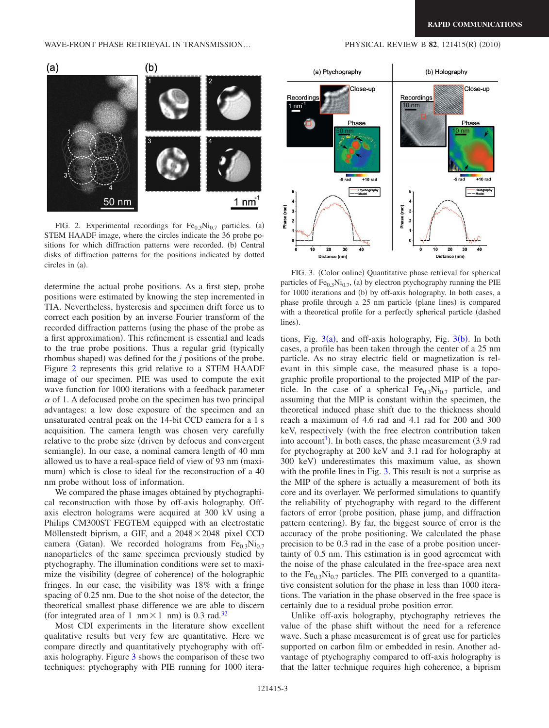$(2010)$ 

<span id="page-3-0"></span>

FIG. 2. Experimental recordings for  $Fe<sub>0.3</sub>Ni<sub>0.7</sub>$  particles. (a) STEM HAADF image, where the circles indicate the 36 probe positions for which diffraction patterns were recorded. (b) Central disks of diffraction patterns for the positions indicated by dotted circles in (a).

determine the actual probe positions. As a first step, probe positions were estimated by knowing the step incremented in TIA. Nevertheless, hysteresis and specimen drift force us to correct each position by an inverse Fourier transform of the recorded diffraction patterns (using the phase of the probe as a first approximation). This refinement is essential and leads to the true probe positions. Thus a regular grid (typically rhombus shaped) was defined for the *j* positions of the probe. Figure [2](#page-3-0) represents this grid relative to a STEM HAADF image of our specimen. PIE was used to compute the exit wave function for 1000 iterations with a feedback parameter  $\alpha$  of 1. A defocused probe on the specimen has two principal advantages: a low dose exposure of the specimen and an unsaturated central peak on the 14-bit CCD camera for a 1 s acquisition. The camera length was chosen very carefully relative to the probe size (driven by defocus and convergent semiangle). In our case, a nominal camera length of 40 mm allowed us to have a real-space field of view of 93 nm (maximum) which is close to ideal for the reconstruction of a 40 nm probe without loss of information.

We compared the phase images obtained by ptychographical reconstruction with those by off-axis holography. Offaxis electron holograms were acquired at 300 kV using a Philips CM300ST FEGTEM equipped with an electrostatic Möllenstedt biprism, a GIF, and a  $2048 \times 2048$  pixel CCD camera (Gatan). We recorded holograms from  $Fe_{0.3}Ni_{0.7}$ nanoparticles of the same specimen previously studied by ptychography. The illumination conditions were set to maximize the visibility (degree of coherence) of the holographic fringes. In our case, the visibility was 18% with a fringe spacing of 0.25 nm. Due to the shot noise of the detector, the theoretical smallest phase difference we are able to discern (for integrated area of 1 nm $\times$ 1 nm) is 0.3 rad.<sup>32</sup>

Most CDI experiments in the literature show excellent qualitative results but very few are quantitative. Here we compare directly and quantitatively ptychography with offaxis holography. Figure [3](#page-3-1) shows the comparison of these two techniques: ptychography with PIE running for 1000 itera-

(a) Ptychography (b) Holography Close-up Close-up Recordings

<span id="page-3-1"></span>

FIG. 3. (Color online) Quantitative phase retrieval for spherical particles of  $Fe<sub>0.3</sub>Ni<sub>0.7</sub>$ , (a) by electron ptychography running the PIE for 1000 iterations and (b) by off-axis holography. In both cases, a phase profile through a 25 nm particle (plane lines) is compared with a theoretical profile for a perfectly spherical particle dashed lines).

tions, Fig.  $3(a)$  $3(a)$ , and off-axis holography, Fig.  $3(b)$ . In both cases, a profile has been taken through the center of a 25 nm particle. As no stray electric field or magnetization is relevant in this simple case, the measured phase is a topographic profile proportional to the projected MIP of the particle. In the case of a spherical  $Fe<sub>0.3</sub>Ni<sub>0.7</sub>$  particle, and assuming that the MIP is constant within the specimen, the theoretical induced phase shift due to the thickness should reach a maximum of 4.6 rad and 4.1 rad for 200 and 300 keV, respectively (with the free electron contribution taken into account<sup>1</sup>). In both cases, the phase measurement  $(3.9 \text{ rad})$ for ptychography at 200 keV and 3.1 rad for holography at 300 keV) underestimates this maximum value, as shown with the profile lines in Fig. [3.](#page-3-1) This result is not a surprise as the MIP of the sphere is actually a measurement of both its core and its overlayer. We performed simulations to quantify the reliability of ptychography with regard to the different factors of error (probe position, phase jump, and diffraction pattern centering). By far, the biggest source of error is the accuracy of the probe positioning. We calculated the phase precision to be 0.3 rad in the case of a probe position uncertainty of 0.5 nm. This estimation is in good agreement with the noise of the phase calculated in the free-space area next to the Fe<sub>0.3</sub>Ni<sub>0.7</sub> particles. The PIE converged to a quantitative consistent solution for the phase in less than 1000 iterations. The variation in the phase observed in the free space is certainly due to a residual probe position error.

Unlike off-axis holography, ptychography retrieves the value of the phase shift without the need for a reference wave. Such a phase measurement is of great use for particles supported on carbon film or embedded in resin. Another advantage of ptychography compared to off-axis holography is that the latter technique requires high coherence, a biprism